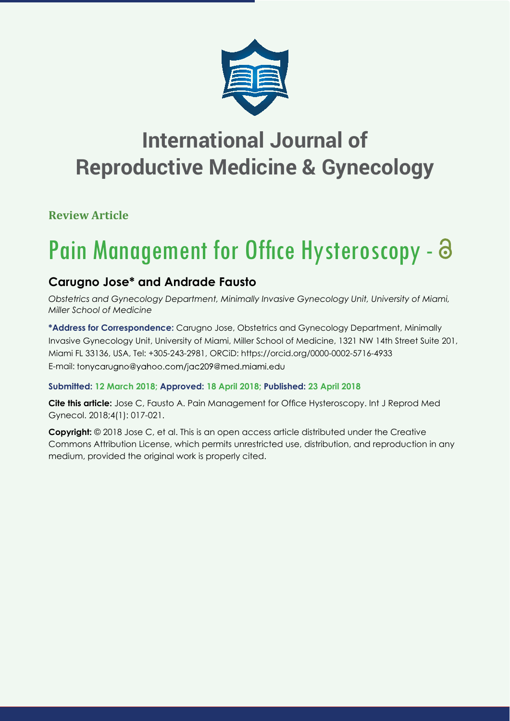

## **International Journal of Reproductive Medicine & Gynecology**

**Review Article**

# Pain Management for Office Hysteroscopy - 8

## **Carugno Jose\* and Andrade Fausto**

*Obstetrics and Gynecology Department, Minimally Invasive Gynecology Unit, University of Miami, Miller School of Medicine*

**\*Address for Correspondence:** Carugno Jose, Obstetrics and Gynecology Department, Minimally Invasive Gynecology Unit, University of Miami, Miller School of Medicine, 1321 NW 14th Street Suite 201, Miami FL 33136, USA, Tel: +305-243-2981, ORCiD: https://orcid.org/0000-0002-5716-4933 E-mail: tonycarugno@yahoo.com/jac209@med.miami.edu

## **Submitted: 12 March 2018; Approved: 18 April 2018; Published: 23 April 2018**

**Cite this article:** Jose C, Fausto A. Pain Management for Office Hysteroscopy. Int J Reprod Med Gynecol. 2018;4(1): 017-021.

**Copyright:** © 2018 Jose C, et al. This is an open access article distributed under the Creative Commons Attribution License, which permits unrestricted use, distribution, and reproduction in any medium, provided the original work is properly cited.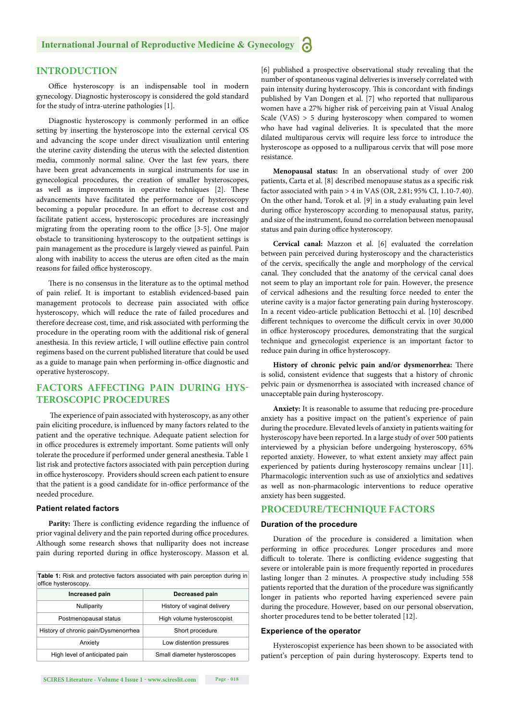#### **INTRODUCTION**

Office hysteroscopy is an indispensable tool in modern gynecology. Diagnostic hysteroscopy is considered the gold standard for the study of intra-uterine pathologies [1].

Diagnostic hysteroscopy is commonly performed in an office setting by inserting the hysteroscope into the external cervical OS and advancing the scope under direct visualization until entering the uterine cavity distending the uterus with the selected distention media, commonly normal saline. Over the last few years, there have been great advancements in surgical instruments for use in gynecological procedures, the creation of smaller hysteroscopes, as well as improvements in operative techniques [2]. These advancements have facilitated the performance of hysteroscopy becoming a popular procedure. In an effort to decrease cost and facilitate patient access, hysteroscopic procedures are increasingly migrating from the operating room to the office [3-5]. One major obstacle to transitioning hysteroscopy to the outpatient settings is pain management as the procedure is largely viewed as painful. Pain along with inability to access the uterus are often cited as the main reasons for failed office hysteroscopy.

There is no consensus in the literature as to the optimal method of pain relief. It is important to establish evidenced-based pain management protocols to decrease pain associated with office hysteroscopy, which will reduce the rate of failed procedures and therefore decrease cost, time, and risk associated with performing the procedure in the operating room with the additional risk of general anesthesia. In this review article, I will outline effective pain control regimens based on the current published literature that could be used as a guide to manage pain when performing in-office diagnostic and operative hysteroscopy.

### **FACTORS AFFECTING PAIN DURING HYS-TEROSCOPIC PROCEDURES**

The experience of pain associated with hysteroscopy, as any other pain eliciting procedure, is influenced by many factors related to the patient and the operative technique. Adequate patient selection for in office procedures is extremely important. Some patients will only tolerate the procedure if performed under general anesthesia. Table 1 list risk and protective factors associated with pain perception during in office hysteroscopy. Providers should screen each patient to ensure that the patient is a good candidate for in-office performance of the needed procedure.

#### **Patient related factors**

Parity: There is conflicting evidence regarding the influence of prior vaginal delivery and the pain reported during office procedures. Although some research shows that nulliparity does not increase pain during reported during in office hysteroscopy. Masson et al.

**Table 1:** Risk and protective factors associated with pain perception during in office hysteroscopy

| Increased pain                       | Decreased pain               |
|--------------------------------------|------------------------------|
| Nulliparity                          | History of vaginal delivery  |
| Postmenopausal status                | High volume hysteroscopist   |
| History of chronic pain/Dysmenorrhea | Short procedure              |
| Anxiety                              | Low distention pressures     |
| High level of anticipated pain       | Small diameter hysteroscopes |

[6] published a prospective observational study revealing that the number of spontaneous vaginal deliveries is inversely correlated with pain intensity during hysteroscopy. This is concordant with findings published by Van Dongen et al. [7] who reported that nulliparous women have a 27% higher risk of perceiving pain at Visual Analog Scale (VAS) > 5 during hysteroscopy when compared to women who have had vaginal deliveries. It is speculated that the more dilated multiparous cervix will require less force to introduce the hysteroscope as opposed to a nulliparous cervix that will pose more resistance.

**Menopausal status:** In an observational study of over 200 patients, Carta et al. [8] described menopause status as a specific risk factor associated with pain > 4 in VAS (OR, 2.81; 95% CI, 1.10-7.40). On the other hand, Torok et al. [9] in a study evaluating pain level during office hysteroscopy according to menopausal status, parity, and size of the instrument, found no correlation between menopausal status and pain during office hysteroscopy.

**Cervical canal:** Mazzon et al. [6] evaluated the correlation between pain perceived during hysteroscopy and the characteristics of the cervix, specifically the angle and morphology of the cervical canal. They concluded that the anatomy of the cervical canal does not seem to play an important role for pain. However, the presence of cervical adhesions and the resulting force needed to enter the uterine cavity is a major factor generating pain during hysteroscopy. In a recent video-article publication Bettocchi et al. [10] described different techniques to overcome the difficult cervix in over 30,000 in office hysteroscopy procedures, demonstrating that the surgical technique and gynecologist experience is an important factor to reduce pain during in office hysteroscopy.

History of chronic pelvic pain and/or dysmenorrhea: There is solid, consistent evidence that suggests that a history of chronic pelvic pain or dysmenorrhea is associated with increased chance of unacceptable pain during hysteroscopy.

**Anxiety:** It is reasonable to assume that reducing pre-procedure anxiety has a positive impact on the patient's experience of pain during the procedure. Elevated levels of anxiety in patients waiting for hysteroscopy have been reported. In a large study of over 500 patients interviewed by a physician before undergoing hysteroscopy, 65% reported anxiety. However, to what extent anxiety may affect pain experienced by patients during hysteroscopy remains unclear [11]. Pharmacologic intervention such as use of anxiolytics and sedatives as well as non-pharmacologic interventions to reduce operative anxiety has been suggested.

#### **PROCEDURE/TECHNIQUE FACTORS**

#### **Duration of the procedure**

Duration of the procedure is considered a limitation when performing in office procedures. Longer procedures and more difficult to tolerate. There is conflicting evidence suggesting that severe or intolerable pain is more frequently reported in procedures lasting longer than 2 minutes. A prospective study including 558 patients reported that the duration of the procedure was significantly longer in patients who reported having experienced severe pain during the procedure. However, based on our personal observation, shorter procedures tend to be better tolerated [12].

#### **Experience of the operator**

Hysteroscopist experience has been shown to be associated with patient's perception of pain during hysteroscopy. Experts tend to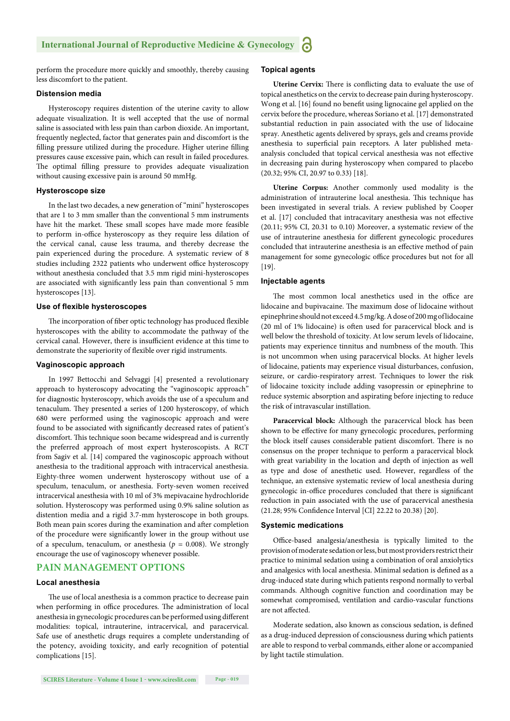perform the procedure more quickly and smoothly, thereby causing less discomfort to the patient.

#### **Distension media**

Hysteroscopy requires distention of the uterine cavity to allow adequate visualization. It is well accepted that the use of normal saline is associated with less pain than carbon dioxide. An important, frequently neglected, factor that generates pain and discomfort is the filling pressure utilized during the procedure. Higher uterine filling pressures cause excessive pain, which can result in failed procedures. The optimal filling pressure to provides adequate visualization without causing excessive pain is around 50 mmHg.

#### **Hysteroscope size**

In the last two decades, a new generation of "mini" hysteroscopes that are 1 to 3 mm smaller than the conventional 5 mm instruments have hit the market. These small scopes have made more feasible to perform in-office hysteroscopy as they require less dilation of the cervical canal, cause less trauma, and thereby decrease the pain experienced during the procedure. A systematic review of 8 studies including 2322 patients who underwent office hysteroscopy without anesthesia concluded that 3.5 mm rigid mini-hysteroscopes are associated with significantly less pain than conventional 5 mm hysteroscopes [13].

#### **Use of flexible hysteroscopes**

The incorporation of fiber optic technology has produced flexible hysteroscopes with the ability to accommodate the pathway of the cervical canal. However, there is insufficient evidence at this time to demonstrate the superiority of flexible over rigid instruments.

#### **Vaginoscopic approach**

In 1997 Bettocchi and Selvaggi [4] presented a revolutionary approach to hysteroscopy advocating the "vaginoscopic approach" for diagnostic hysteroscopy, which avoids the use of a speculum and tenaculum. They presented a series of 1200 hysteroscopy, of which 680 were performed using the vaginoscopic approach and were found to be associated with significantly decreased rates of patient's discomfort. This technique soon became widespread and is currently the preferred approach of most expert hysteroscopists. A RCT from Sagiv et al. [14] compared the vaginoscopic approach without anesthesia to the traditional approach with intracervical anesthesia. Eighty-three women underwent hysteroscopy without use of a speculum, tenaculum, or anesthesia. Forty-seven women received intracervical anesthesia with 10 ml of 3% mepivacaine hydrochloride solution. Hysteroscopy was performed using 0.9% saline solution as distention media and a rigid 3.7-mm hysteroscope in both groups. Both mean pain scores during the examination and after completion of the procedure were significantly lower in the group without use of a speculum, tenaculum, or anesthesia ( $p = 0.008$ ). We strongly encourage the use of vaginoscopy whenever possible.

#### **PAIN MANAGEMENT OPTIONS**

#### **Local anesthesia**

The use of local anesthesia is a common practice to decrease pain when performing in office procedures. The administration of local anesthesia in gynecologic procedures can be performed using different modalities: topical, intrauterine, intracervical, and paracervical. Safe use of anesthetic drugs requires a complete understanding of the potency, avoiding toxicity, and early recognition of potential complications [15].

#### **Topical agents**

**Uterine Cervix:** There is conflicting data to evaluate the use of topical anesthetics on the cervix to decrease pain during hysteroscopy. Wong et al. [16] found no benefit using lignocaine gel applied on the cervix before the procedure, whereas Soriano et al. [17] demonstrated substantial reduction in pain associated with the use of lidocaine spray. Anesthetic agents delivered by sprays, gels and creams provide anesthesia to superficial pain receptors. A later published metaanalysis concluded that topical cervical anesthesia was not effective in decreasing pain during hysteroscopy when compared to placebo (20.32; 95% CI, 20.97 to 0.33) [18].

**Uterine Corpus:** Another commonly used modality is the administration of intrauterine local anesthesia. This technique has been investigated in several trials. A review published by Cooper et al. [17] concluded that intracavitary anesthesia was not effective (20.11; 95% CI, 20.31 to 0.10) Moreover, a systematic review of the use of intrauterine anesthesia for different gynecologic procedures concluded that intrauterine anesthesia is an effective method of pain management for some gynecologic office procedures but not for all [19].

#### **Injectable agents**

The most common local anesthetics used in the office are lidocaine and bupivacaine. The maximum dose of lidocaine without epinephrine should not exceed 4.5 mg/kg. A dose of 200 mg of lidocaine (20 ml of 1% lidocaine) is often used for paracervical block and is well below the threshold of toxicity. At low serum levels of lidocaine, patients may experience tinnitus and numbness of the mouth. This is not uncommon when using paracervical blocks. At higher levels of lidocaine, patients may experience visual disturbances, confusion, seizure, or cardio-respiratory arrest. Techniques to lower the risk of lidocaine toxicity include adding vasopressin or epinephrine to reduce systemic absorption and aspirating before injecting to reduce the risk of intravascular instillation.

**Paracervical block:** Although the paracervical block has been shown to be effective for many gynecologic procedures, performing the block itself causes considerable patient discomfort. There is no consensus on the proper technique to perform a paracervical block with great variability in the location and depth of injection as well as type and dose of anesthetic used. However, regardless of the technique, an extensive systematic review of local anesthesia during gynecologic in-office procedures concluded that there is significant reduction in pain associated with the use of paracervical anesthesia (21.28; 95% Confidence Interval [CI] 22.22 to 20.38) [20].

#### **Systemic medications**

Office-based analgesia/anesthesia is typically limited to the provision of moderate sedation or less, but most providers restrict their practice to minimal sedation using a combination of oral anxiolytics and analgesics with local anesthesia. Minimal sedation is defined as a drug-induced state during which patients respond normally to verbal commands. Although cognitive function and coordination may be somewhat compromised, ventilation and cardio-vascular functions are not affected.

Moderate sedation, also known as conscious sedation, is defined as a drug-induced depression of consciousness during which patients are able to respond to verbal commands, either alone or accompanied by light tactile stimulation.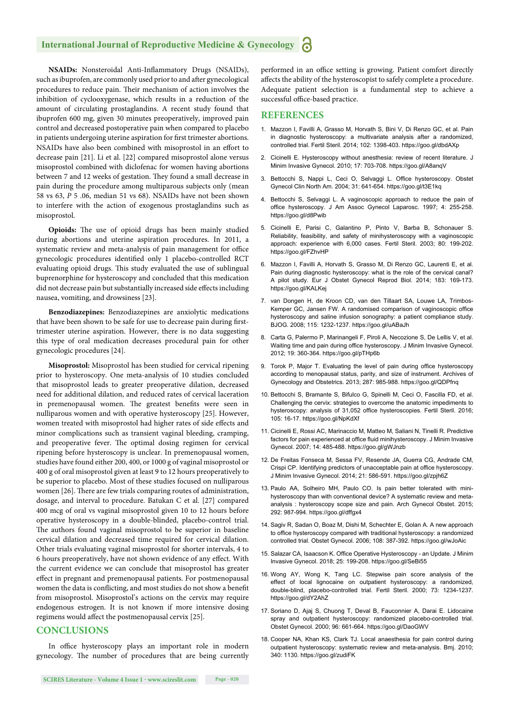#### **International Journal of Reproductive Medicine & Gynecology**

NSAIDs: Nonsteroidal Anti-Inflammatory Drugs (NSAIDs), such as ibuprofen, are commonly used prior to and after gynecological procedures to reduce pain. Their mechanism of action involves the inhibition of cyclooxygenase, which results in a reduction of the amount of circulating prostaglandins. A recent study found that ibuprofen 600 mg, given 30 minutes preoperatively, improved pain control and decreased postoperative pain when compared to placebo in patients undergoing uterine aspiration for first trimester abortions. NSAIDs have also been combined with misoprostol in an effort to decrease pain [21]. Li et al. [22] compared misoprostol alone versus misoprostol combined with diclofenac for women having abortions between 7 and 12 weeks of gestation. They found a small decrease in pain during the procedure among multiparous subjects only (mean 58 vs 63, *P* 5 .06, median 51 vs 68). NSAIDs have not been shown to interfere with the action of exogenous prostaglandins such as misoprostol.

Opioids: The use of opioid drugs has been mainly studied during abortions and uterine aspiration procedures. In 2011, a systematic review and meta-analysis of pain management for office gynecologic procedures identified only 1 placebo-controlled RCT evaluating opioid drugs. This study evaluated the use of sublingual buprenorphine for hysteroscopy and concluded that this medication did not decrease pain but substantially increased side effects including nausea, vomiting, and drowsiness [23].

**Benzodiazepines:** Benzodiazepines are anxiolytic medications that have been shown to be safe for use to decrease pain during firsttrimester uterine aspiration. However, there is no data suggesting this type of oral medication decreases procedural pain for other gynecologic procedures [24].

**Misoprostol:** Misoprostol has been studied for cervical ripening prior to hysteroscopy. One meta-analysis of 10 studies concluded that misoprostol leads to greater preoperative dilation, decreased need for additional dilation, and reduced rates of cervical laceration in premenopausal women. The greatest benefits were seen in nulliparous women and with operative hysteroscopy [25]. However, women treated with misoprostol had higher rates of side effects and minor complications such as transient vaginal bleeding, cramping, and preoperative fever. The optimal dosing regimen for cervical ripening before hysteroscopy is unclear. In premenopausal women, studies have found either 200, 400, or 1000 g of vaginal misoprostol or 400 g of oral misoprostol given at least 9 to 12 hours preoperatively to be superior to placebo. Most of these studies focused on nulliparous women [26]. There are few trials comparing routes of administration, dosage, and interval to procedure. Batukan C et al. [27] compared 400 mcg of oral vs vaginal misoprostol given 10 to 12 hours before operative hysteroscopy in a double-blinded, placebo-control trial. The authors found vaginal misoprostol to be superior in baseline cervical dilation and decreased time required for cervical dilation. Other trials evaluating vaginal misoprostol for shorter intervals, 4 to 6 hours preoperatively, have not shown evidence of any effect. With the current evidence we can conclude that misoprostol has greater effect in pregnant and premenopausal patients. For postmenopausal women the data is conflicting, and most studies do not show a benefit from misoprostol. Misoprostol's actions on the cervix may require endogenous estrogen. It is not known if more intensive dosing regimens would affect the postmenopausal cervix [25].

#### **CONCLUSIONS**

In office hysteroscopy plays an important role in modern gynecology. The number of procedures that are being currently performed in an office setting is growing. Patient comfort directly affects the ability of the hysteroscopist to safely complete a procedure. Adequate patient selection is a fundamental step to achieve a successful office-based practice.

#### **REFERENCES**

- 1. Mazzon I, Favilli A, Grasso M, Horvath S, Bini V, Di Renzo GC, et al. Pain in diagnostic hysteroscopy: a multivariate analysis after a randomized, controlled trial. Fertil Steril. 2014; 102: 1398-403. https://goo.gl/dbdAXp
- 2. Cicinelli E. Hysteroscopy without anesthesia: review of recent literature. J Minim Invasive Gynecol. 2010; 17: 703-708. https://goo.gl/A8anqV
- 3. Bettocchi S, Nappi L, Ceci O, Selvaggi L. Office hysteroscopy. Obstet Gynecol Clin North Am. 2004; 31: 641-654. https://goo.gl/t3E1kq
- 4. Bettocchi S, Selvaggi L. A vaginoscopic approach to reduce the pain of office hysteroscopy. J Am Assoc Gynecol Laparosc. 1997; 4: 255-258. https://goo.gl/d8Pwib
- 5. Cicinelli E, Parisi C, Galantino P, Pinto V, Barba B, Schonauer S. Reliability, feasibility, and safety of minihysteroscopy with a vaginoscopic approach: experience with 6,000 cases. Fertil Steril. 2003; 80: 199-202. https://goo.gl/FZhvHP
- 6. Mazzon I, Favilli A, Horvath S, Grasso M, Di Renzo GC, Laurenti E, et al. Pain during diagnostic hysteroscopy: what is the role of the cervical canal? A pilot study. Eur J Obstet Gynecol Reprod Biol. 2014; 183: 169-173. https://goo.gl/KALKej
- 7. van Dongen H, de Kroon CD, van den Tillaart SA, Louwe LA, Trimbos-Kemper GC, Jansen FW. A randomised comparison of vaginoscopic office hysteroscopy and saline infusion sonography: a patient compliance study. BJOG. 2008; 115: 1232-1237. https://goo.gl/uABaJh
- 8. Carta G, Palermo P, Marinangeli F, Piroli A, Necozione S, De Lellis V, et al. Waiting time and pain during office hysteroscopy. J Minim Invasive Gynecol. 2012; 19: 360-364. https://goo.gl/pTHp6b
- 9. Torok P, Major T. Evaluating the level of pain during office hysteroscopy according to menopausal status, parity, and size of instrument. Archives of Gynecology and Obstetrics. 2013; 287: 985-988. https://goo.gl/QDPfnq
- 10. Bettocchi S, Bramante S, Bifulco G, Spinelli M, Ceci O, Fascilla FD, et al. Challenging the cervix: strategies to overcome the anatomic impediments to hysteroscopy: analysis of 31,052 office hysteroscopies. Fertil Steril. 2016; 105: 16-17. https://goo.gl/NpKdXf
- 11. Cicinelli E, Rossi AC, Marinaccio M, Matteo M, Saliani N, Tinelli R. Predictive factors for pain experienced at office fluid minihysteroscopy. J Minim Invasive Gynecol. 2007; 14: 485-488. https://goo.gl/gWJnzb
- 12. De Freitas Fonseca M, Sessa FV, Resende JA, Guerra CG, Andrade CM, Crispi CP. Identifying predictors of unacceptable pain at office hysteroscopy. J Minim Invasive Gynecol. 2014; 21: 586-591. https://goo.gl/zpjh6Z
- 13. Paulo AA, Solheiro MH, Paulo CO. Is pain better tolerated with minihysteroscopy than with conventional device? A systematic review and metaanalysis : hysteroscopy scope size and pain. Arch Gynecol Obstet. 2015; 292: 987-994. https://goo.gl/dffgx4
- 14. Sagiv R, Sadan O, Boaz M, Dishi M, Schechter E, Golan A. A new approach to office hysteroscopy compared with traditional hysteroscopy: a randomized controlled trial. Obstet Gynecol. 2006; 108: 387-392. https://goo.gl/wJoAic
- 15. Salazar CA, Isaacson K. Office Operative Hysteroscopy an Update. J Minim Invasive Gynecol. 2018; 25: 199-208. https://goo.gl/SeBi55
- 16. Wong AY, Wong K, Tang LC. Stepwise pain score analysis of the effect of local lignocaine on outpatient hysteroscopy: a randomized, double-blind, placebo-controlled trial. Fertil Steril. 2000; 73: 1234-1237. https://goo.gl/dY2AhZ
- 17. Soriano D, Ajaj S, Chuong T, Deval B, Fauconnier A, Darai E. Lidocaine spray and outpatient hysteroscopy: randomized placebo-controlled trial. Obstet Gynecol. 2000; 96: 661-664. https://goo.gl/DaoGWV
- 18. Cooper NA, Khan KS, Clark TJ. Local anaesthesia for pain control during outpatient hysteroscopy: systematic review and meta-analysis. Bmj. 2010; 340: 1130. https://goo.gl/zudiFK